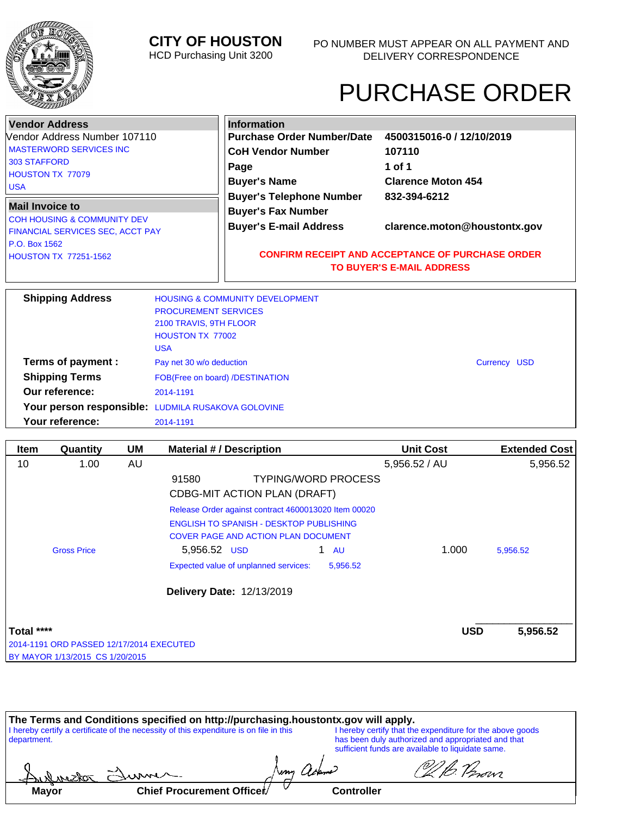

### **CITY OF HOUSTON**

HCD Purchasing Unit 3200

# PURCHASE ORDER

| <b>Information</b><br>Vendor Address Number 107110<br><b>Purchase Order Number/Date</b><br>4500315016-0 / 12/10/2019<br><b>CoH Vendor Number</b><br>107110<br>1 of 1<br>Page<br><b>Buyer's Name</b><br><b>Clarence Moton 454</b><br><b>Buyer's Telephone Number</b><br>832-394-6212<br><b>Buyer's Fax Number</b><br><b>Buyer's E-mail Address</b><br>clarence.moton@houstontx.gov<br><b>CONFIRM RECEIPT AND ACCEPTANCE OF PURCHASE ORDER</b><br><b>TO BUYER'S E-MAIL ADDRESS</b><br><b>Shipping Address</b><br><b>HOUSING &amp; COMMUNITY DEVELOPMENT</b><br><b>PROCUREMENT SERVICES</b><br>2100 TRAVIS, 9TH FLOOR<br><b>HOUSTON TX 77002</b><br><b>USA</b><br>Terms of payment :<br><b>Currency USD</b><br>Pay net 30 w/o deduction<br><b>Shipping Terms</b><br>FOB(Free on board) /DESTINATION |                                                                                                                                                              |  |  |  |  |  |
|--------------------------------------------------------------------------------------------------------------------------------------------------------------------------------------------------------------------------------------------------------------------------------------------------------------------------------------------------------------------------------------------------------------------------------------------------------------------------------------------------------------------------------------------------------------------------------------------------------------------------------------------------------------------------------------------------------------------------------------------------------------------------------------------------|--------------------------------------------------------------------------------------------------------------------------------------------------------------|--|--|--|--|--|
|                                                                                                                                                                                                                                                                                                                                                                                                                                                                                                                                                                                                                                                                                                                                                                                                  | <b>Vendor Address</b><br><b>MASTERWORD SERVICES INC.</b><br><b>303 STAFFORD</b><br><b>HOUSTON TX 77079</b><br><b>USA</b>                                     |  |  |  |  |  |
|                                                                                                                                                                                                                                                                                                                                                                                                                                                                                                                                                                                                                                                                                                                                                                                                  | <b>Mail Invoice to</b><br><b>COH HOUSING &amp; COMMUNITY DEV</b><br><b>FINANCIAL SERVICES SEC, ACCT PAY</b><br>P.O. Box 1562<br><b>HOUSTON TX 77251-1562</b> |  |  |  |  |  |
|                                                                                                                                                                                                                                                                                                                                                                                                                                                                                                                                                                                                                                                                                                                                                                                                  |                                                                                                                                                              |  |  |  |  |  |
| 2014-1191                                                                                                                                                                                                                                                                                                                                                                                                                                                                                                                                                                                                                                                                                                                                                                                        | Our reference:                                                                                                                                               |  |  |  |  |  |

**Our reference:** 2014-1191 Your person responsible: LUDMILA RUSAKOVA GOLOVINE **Your reference:** 2014-1191

| <b>Item</b> | Quantity                                 | <b>UM</b> | <b>Material #/ Description</b>                       |                            | <b>Unit Cost</b> | <b>Extended Cost</b> |
|-------------|------------------------------------------|-----------|------------------------------------------------------|----------------------------|------------------|----------------------|
| 10          | 1.00                                     | AU        |                                                      |                            | 5,956.52 / AU    | 5,956.52             |
|             |                                          |           | 91580                                                | <b>TYPING/WORD PROCESS</b> |                  |                      |
|             |                                          |           | CDBG-MIT ACTION PLAN (DRAFT)                         |                            |                  |                      |
|             |                                          |           | Release Order against contract 4600013020 Item 00020 |                            |                  |                      |
|             |                                          |           | <b>ENGLISH TO SPANISH - DESKTOP PUBLISHING</b>       |                            |                  |                      |
|             |                                          |           | <b>COVER PAGE AND ACTION PLAN DOCUMENT</b>           |                            |                  |                      |
|             | <b>Gross Price</b>                       |           | 5,956.52 USD                                         | 1 AU                       | 1.000            | 5,956.52             |
|             |                                          |           | Expected value of unplanned services:                | 5,956.52                   |                  |                      |
|             |                                          |           | Delivery Date: 12/13/2019                            |                            |                  |                      |
|             |                                          |           |                                                      |                            |                  |                      |
| Total ****  |                                          |           |                                                      |                            | <b>USD</b>       | 5,956.52             |
|             | 2014-1191 ORD PASSED 12/17/2014 EXECUTED |           |                                                      |                            |                  |                      |
|             | BY MAYOR 1/13/2015 CS 1/20/2015          |           |                                                      |                            |                  |                      |

| The Terms and Conditions specified on http://purchasing.houstontx.gov will apply. |                                                                                        |       |                   |                                                                                                                                                                      |
|-----------------------------------------------------------------------------------|----------------------------------------------------------------------------------------|-------|-------------------|----------------------------------------------------------------------------------------------------------------------------------------------------------------------|
| department.                                                                       | I hereby certify a certificate of the necessity of this expenditure is on file in this |       |                   | I hereby certify that the expenditure for the above goods<br>has been duly authorized and appropriated and that<br>sufficient funds are available to liquidate same. |
|                                                                                   | Sulvestor Summer                                                                       | appro |                   | O2 B. Person                                                                                                                                                         |
| <b>Mavor</b>                                                                      | Chief Procurement Officer/                                                             |       | <b>Controller</b> |                                                                                                                                                                      |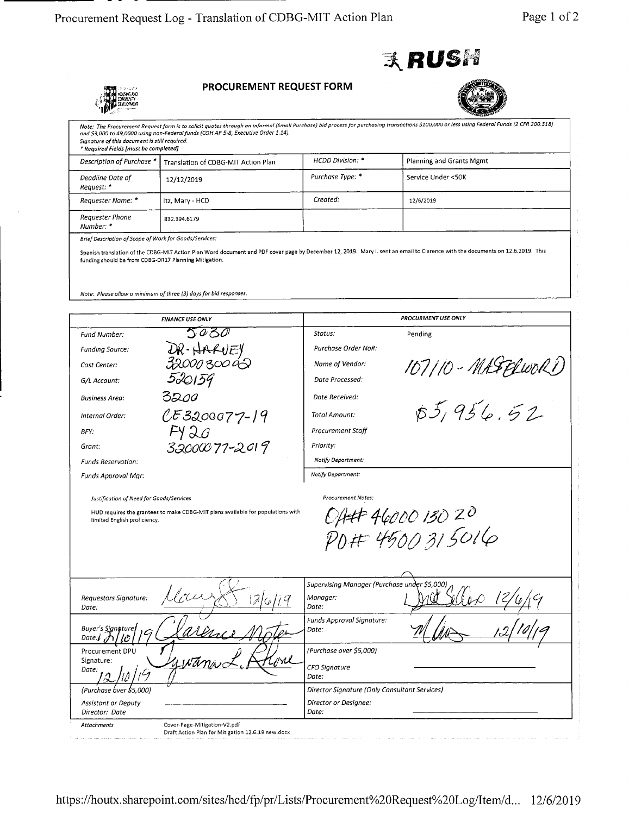# $R$ **RUSM**



#### **PROCUREMENT REQUEST FORM**



| <b>ТР 200</b>                                                                                                                                                                                                                                                                                                                                                              |                                                                                 |                                                   | <b>CONTRACTOR</b>                                                                                                                                                              |  |
|----------------------------------------------------------------------------------------------------------------------------------------------------------------------------------------------------------------------------------------------------------------------------------------------------------------------------------------------------------------------------|---------------------------------------------------------------------------------|---------------------------------------------------|--------------------------------------------------------------------------------------------------------------------------------------------------------------------------------|--|
| Note: The Procurement Request form is to solicit quotes through an informal (Small Purchase) bid process for purchasing transactions \$100,000 or less using Federal Funds (2 CFR 200.318)<br>and \$3,000 to 49,0000 using non-Federal funds (COH AP 5-8, Executive Order 1.14).<br>Signature of this document is still required.<br>* Required Fields [must be completed] |                                                                                 |                                                   |                                                                                                                                                                                |  |
| Description of Purchase *                                                                                                                                                                                                                                                                                                                                                  | Translation of CDBG-MIT Action Plan                                             | HCDD Division: *                                  | Planning and Grants Mgmt                                                                                                                                                       |  |
| Deadline Date of<br>Request: *                                                                                                                                                                                                                                                                                                                                             | 12/12/2019                                                                      | Purchase Type: *                                  | Service Under <50K                                                                                                                                                             |  |
| Requester Name: *                                                                                                                                                                                                                                                                                                                                                          | Itz, Mary - HCD                                                                 | Created:                                          | 12/6/2019                                                                                                                                                                      |  |
| Reauester Phone<br>Number: *                                                                                                                                                                                                                                                                                                                                               | 832.394.6179                                                                    |                                                   |                                                                                                                                                                                |  |
| Brief Description of Scope of Work for Goods/Services:                                                                                                                                                                                                                                                                                                                     |                                                                                 |                                                   |                                                                                                                                                                                |  |
| funding should be from CDBG-DR17 Planning Mitigation.                                                                                                                                                                                                                                                                                                                      | Note: Please allow a minimum of three (3) days for bid responses.               |                                                   | Spanish translation of the CDBG-MIT Action Plan Word document and PDF cover page by December 12, 2019. Mary I. sent an email to Clarence with the documents on 12.6.2019. This |  |
|                                                                                                                                                                                                                                                                                                                                                                            | <b>FINANCE USE ONLY</b>                                                         |                                                   | <b>PROCURMENT USE ONLY</b>                                                                                                                                                     |  |
| Fund Number:                                                                                                                                                                                                                                                                                                                                                               | 5030                                                                            | Status:                                           | Pending                                                                                                                                                                        |  |
| <b>Funding Source:</b>                                                                                                                                                                                                                                                                                                                                                     |                                                                                 | Purchase Order No#:                               |                                                                                                                                                                                |  |
| Cost Center:                                                                                                                                                                                                                                                                                                                                                               | DR-HARVEY<br>32000 300 00                                                       | Name of Vendor:                                   |                                                                                                                                                                                |  |
| G/L Account:                                                                                                                                                                                                                                                                                                                                                               | 520159                                                                          | Date Processed:                                   |                                                                                                                                                                                |  |
| <b>Business Area:</b>                                                                                                                                                                                                                                                                                                                                                      | 3200                                                                            | Date Received:                                    | 107/10 - MASELWORD<br>55, 956.52                                                                                                                                               |  |
| Internal Order:                                                                                                                                                                                                                                                                                                                                                            | CE3200077-19                                                                    | Total Amount:                                     |                                                                                                                                                                                |  |
| BFY:                                                                                                                                                                                                                                                                                                                                                                       | $FY$ 20                                                                         | Procurement Staff                                 |                                                                                                                                                                                |  |
| Grant:                                                                                                                                                                                                                                                                                                                                                                     | 32000077-2019                                                                   | Priority:                                         |                                                                                                                                                                                |  |
| <b>Funds Reservation:</b>                                                                                                                                                                                                                                                                                                                                                  |                                                                                 | Notify Department:                                |                                                                                                                                                                                |  |
| Funds Approval Mgr:                                                                                                                                                                                                                                                                                                                                                        |                                                                                 | Notify Department:                                |                                                                                                                                                                                |  |
| Justification of Need for Goods/Services                                                                                                                                                                                                                                                                                                                                   |                                                                                 | Procurement Notes:                                |                                                                                                                                                                                |  |
| limited English proficiency.                                                                                                                                                                                                                                                                                                                                               | HUD requires the grantees to make CDBG-MIT plans available for populations with |                                                   |                                                                                                                                                                                |  |
|                                                                                                                                                                                                                                                                                                                                                                            |                                                                                 |                                                   | Oft#46000 130 20<br>P0#=4500 31 5016                                                                                                                                           |  |
|                                                                                                                                                                                                                                                                                                                                                                            |                                                                                 | Supervising Manager (Purchase under \$5,000)      |                                                                                                                                                                                |  |
| Requestors Signature:<br>Date:                                                                                                                                                                                                                                                                                                                                             |                                                                                 | Manager:<br>Date:                                 |                                                                                                                                                                                |  |
| Buyer's Signature<br>∂، ¢Date:<br>IC                                                                                                                                                                                                                                                                                                                                       |                                                                                 | <b>Funds Approval Signature:</b><br>Date:         |                                                                                                                                                                                |  |
| Procurement DPU<br>Signature:<br>Date:                                                                                                                                                                                                                                                                                                                                     |                                                                                 | (Purchase over \$5,000)<br>CFO Signature<br>Date: |                                                                                                                                                                                |  |
| (Purchase bver \$5,000)                                                                                                                                                                                                                                                                                                                                                    |                                                                                 | Director Signature (Only Consultant Services)     |                                                                                                                                                                                |  |
| <b>Assistant or Deputy</b><br>Director: Date                                                                                                                                                                                                                                                                                                                               |                                                                                 | Director or Designee:<br>Date:                    |                                                                                                                                                                                |  |

Attachments Cover-Page-Mitigation-V2.pdf Draft Action Plan for Mitigation 12.6.19 new.docx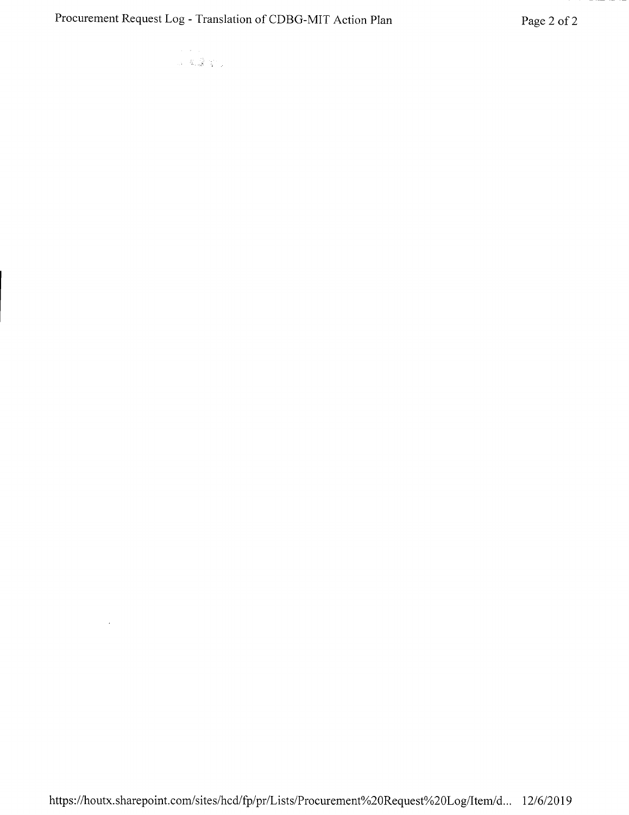

 $\sim 10^{11}$  km s  $^{-1}$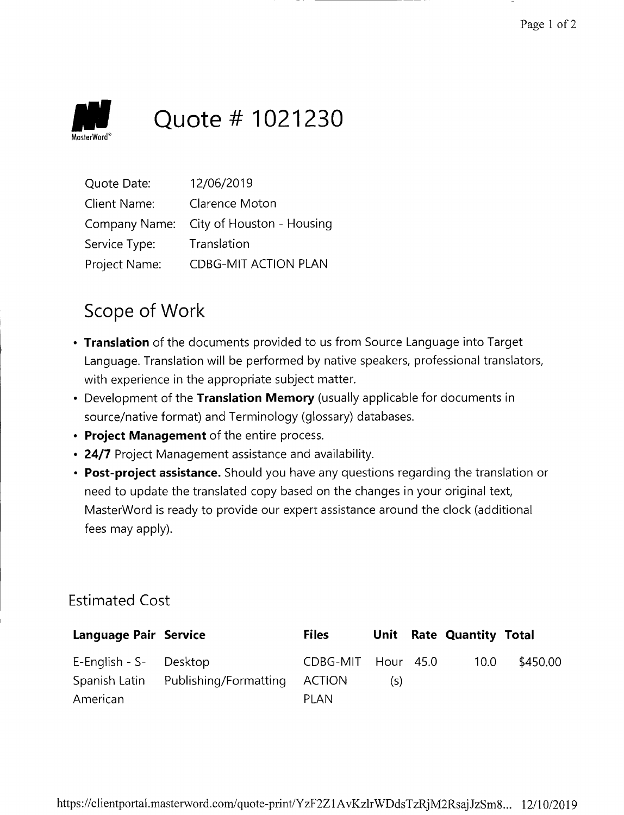

| Quote Date:   | 12/06/2019                  |
|---------------|-----------------------------|
| Client Name:  | Clarence Moton              |
| Company Name: | City of Houston - Housing   |
| Service Type: | Translation                 |
| Project Name: | <b>CDBG-MIT ACTION PLAN</b> |

## Scope of Work

- **Translation** of the documents provided to us from Source Language into Target Language. Translation will be performed by native speakers, professional translators, with experience in the appropriate subject matter.
- Development of the **Translation Memory** (usually applicable for documents in source/native format) and Terminology (glossary) databases.
- **Project Management** of the entire process.
- **24/7** Project Management assistance and availability.
- **Post-project assistance.** Should you have any questions regarding the translation or need to update the translated copy based on the changes in your original text, MasterWord is ready to provide our expert assistance around the clock (additional fees may apply).

### Estimated Cost

| Language Pair Service  |                                            | <b>Files</b>       |     | Unit Rate Quantity Total |          |
|------------------------|--------------------------------------------|--------------------|-----|--------------------------|----------|
| E-English - S- Desktop |                                            | CDBG-MIT Hour 45.0 |     | 10.0                     | \$450.00 |
|                        | Spanish Latin Publishing/Formatting ACTION |                    | (S) |                          |          |
| American               |                                            | PI AN              |     |                          |          |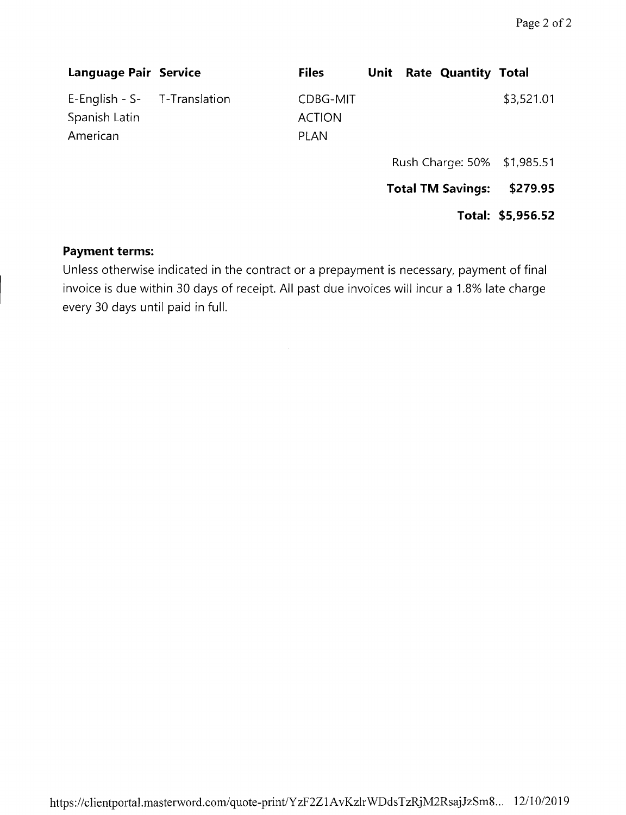| Language Pair Service                                     | <b>Files</b>                             |  | Unit Rate Quantity Total |                             |
|-----------------------------------------------------------|------------------------------------------|--|--------------------------|-----------------------------|
| E-English - S- T-Translation<br>Spanish Latin<br>American | CDBG-MIT<br><b>ACTION</b><br><b>PLAN</b> |  |                          | \$3,521.01                  |
|                                                           |                                          |  |                          | Rush Charge: 50% \$1,985.51 |
|                                                           |                                          |  | <b>Total TM Savings:</b> | \$279.95                    |
|                                                           |                                          |  |                          | Total: \$5,956.52           |

### **Payment terms:**

Unless otherwise indicated in the contract or a prepayment is necessary, payment of final invoice is due within 30 days of receipt. All past due invoices will incur a 1.8% late charge every 30 days until paid in full.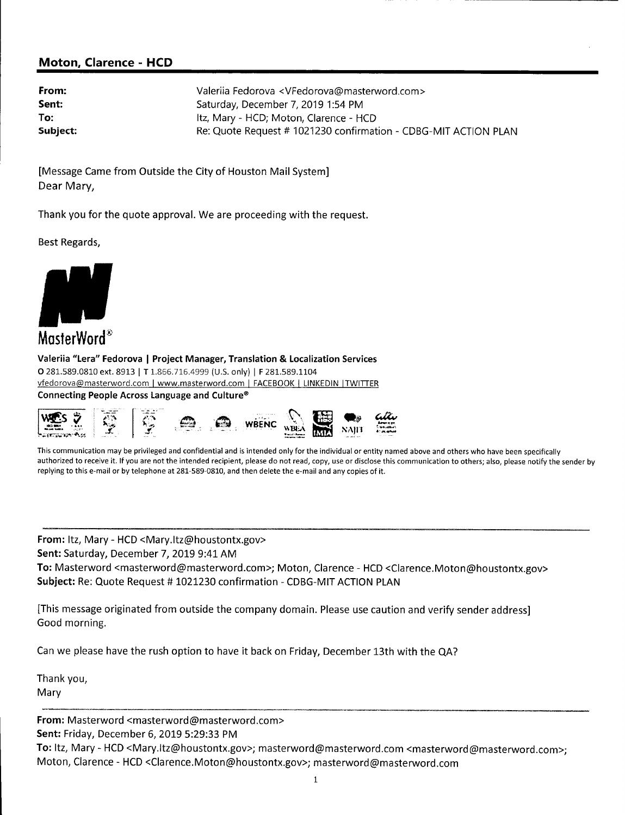#### **Moton, Clarence - HCD**

| From:    | Valerija Fedorova <vfedorova@masterword.com></vfedorova@masterword.com> |
|----------|-------------------------------------------------------------------------|
| Sent:    | Saturday, December 7, 2019 1:54 PM                                      |
| To:      | Itz, Mary - HCD; Moton, Clarence - HCD                                  |
| Subject: | Re: Quote Request # 1021230 confirmation - CDBG-MIT ACTION PLAN         |

[Message Came from Outside the City of Houston Mail System] Dear Mary,

Thank you for the quote approval. We are proceeding with the request.

Best Regards,



### MasterWord<sup>®</sup>

**Valeriia "Lera" Fedorova I Project Manager, Translation & Localization Services**  o 281.589.0810 ext. 8913 I T 1.866.716.4999 (u.S. only) I F 281.589.1104 vfedorova@masterword.com | www.masterword.com | FACEBOOK | LINKEDIN | TWITTER **Connecting People Across Language and Culture®** 



This communication may be privileged and confidential and is intended only for the individual or entity named above and others who have been specifically authorized to receive it. If you are not the intended recipient, please do not read, copy, use or disclose this communication to others; also, please notify the sender by replying to this e-mail or by telephone at 281-589-0810, and then delete the e-mail and any copies of it.

**From:** ltz, Mary - HCD <Mary.ltz@houstontx.gov> **Sent:** Saturday, December 7, 2019 9:41 AM To: Masterword <masterword@masterword.com>; Moton, Clarence - HCD <Clarence.Moton@houstontx.gov> **Subject:** Re: Quote Request # 1021230 confirmation - CDBG-MlT ACTION PLAN

[This message originated from outside the company domain. Please use caution and verify sender address] Good morning.

Can we please have the rush option to have it back on Friday, December 13th with the QA?

Thank you,

Mary

**From:** Masterword <masterword@masterword.com> **Sent:** Friday, December 6, 2019 5:29:33 PM To: Itz, Mary - HCD <Mary.Itz@houstontx.gov>; masterword@masterword.com <masterword@masterword.com>; Moton, Clarence - HCD <Clarence.Moton@houstontx.gov>; masterword@masterword.com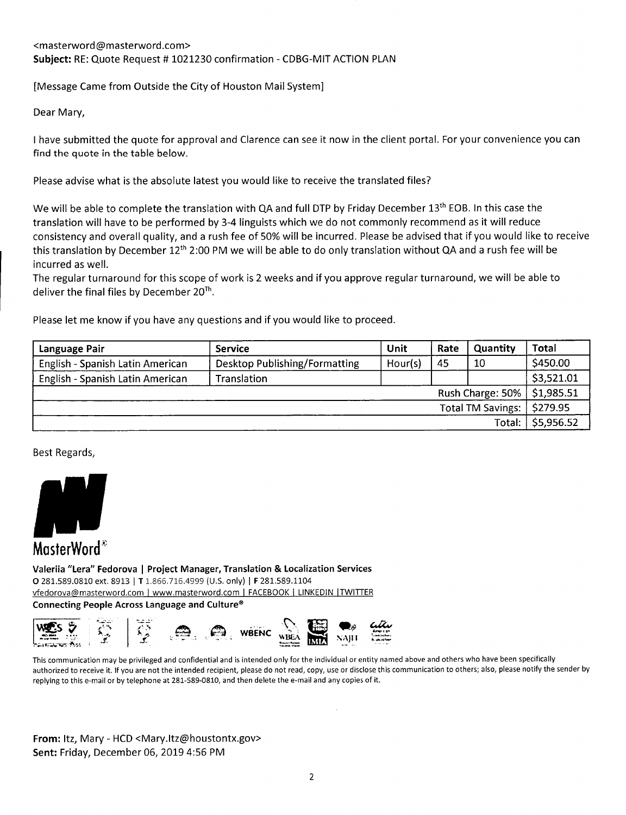#### <masterword@masterword.com> **Subject:** RE: Quote Request # 1021230 confirmation - CDBG-MIT ACTION PLAN

[Message Came from Outside the City of Houston Mail System]

Dear Mary,

I have submitted the quote for approval and Clarence can see it now in the client portal. For your convenience you can find the quote in the table below.

Please advise what is the absolute latest you would like to receive the translated files?

We will be able to complete the translation with QA and full DTP by Friday December 13<sup>th</sup> EOB. In this case the translation will have to be performed by 3-4 linguists which we do not commonly recommend as it will reduce consistency and overall quality, and a rush fee of 50% will be incurred. Please be advised that if you would like to receive this translation by December 12<sup>th</sup> 2:00 PM we will be able to do only translation without QA and a rush fee will be incurred as well.

The regular turnaround for this scope of work is 2 weeks and if you approve regular turnaround, we will be able to deliver the final files by December  $20<sup>Th</sup>$ .

Please let me know if you have any questions and if you would like to proceed.

| Language Pair                    | <b>Service</b>                | Unit    | Rate | <b>Quantity</b>          | Total      |
|----------------------------------|-------------------------------|---------|------|--------------------------|------------|
| English - Spanish Latin American | Desktop Publishing/Formatting | Hour(s) | 45   | 10                       | \$450.00   |
| English - Spanish Latin American | Translation                   |         |      |                          | \$3,521.01 |
|                                  |                               |         |      | Rush Charge: 50%         | 51,985.51  |
|                                  |                               |         |      | <b>Total TM Savings:</b> | \$279.95   |
|                                  |                               |         |      | Total:                   | \$5,956.52 |

Best Regards,



### MasterWord

**Valeriia "Lera" Fedorova I Project Manager, Translation & Localization Services 0** 281.589.0810 ext. 8913 T 1.866.716.4999 (U.S. only) I F 281.589.1104 vfedorova@masterword.com | www.masterword.com | FACEBOOK | LINKEDIN | TWITTER **Connecting People Across Language and Culture®** 



This communication may be privileged and confidential and is intended only for the individual or entity named above and others who have been specifically authorized to receive it. If you are not the intended recipient, please do not read, copy, use or disclose this communication to others; also, please notify the sender by replying to this e-mail or by telephone at 281-589-0810, and then delete the e-mail and any copies of it.

**From:** ltz, Mary - HCD <Mary.ltz@houstontx.gov> **Sent:** Friday, December 06, 2019 4:56 PM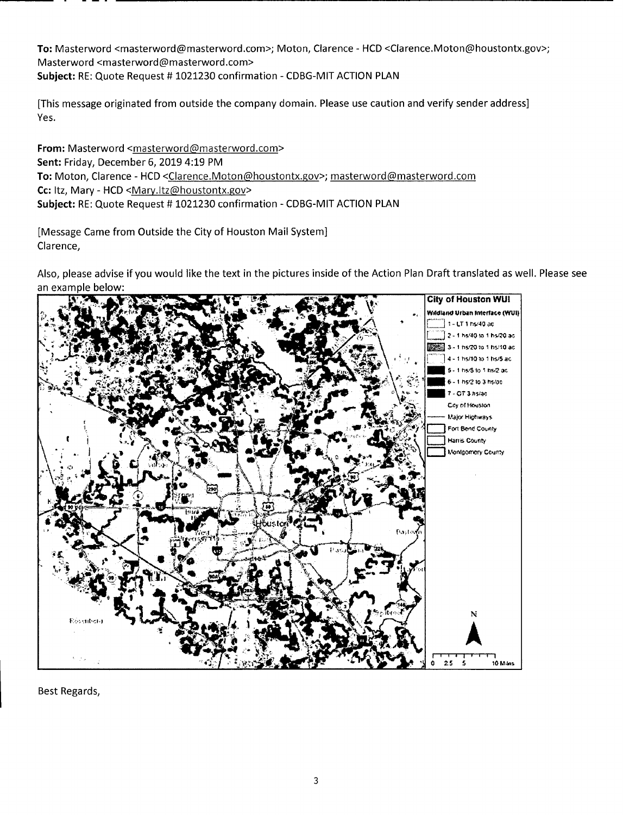To: Masterword <masterword@masterword.com>; Moton, Clarence - HCD <Clarence.Moton@houstontx.gov>; Masterword <masterword@masterword.com> **Subject:** RE: Quote Request # 1021230 confirmation - CDBG-MIT ACTION PLAN

[This message originated from outside the company domain. Please use caution and verify sender address] Yes.

From: Masterword <masterword@masterword.com> **Sent:** Friday, December 6, 2019 4:19 PM To: Moton, Clarence - HCD <Clarence.Moton@houstontx.gov>; masterword@masterword.com Cc: ltz, Mary - HCD <Mary.ltz@houstontx.gov> **Subject:** RE: Quote Request # 1021230 confirmation - CDBG-MIT ACTION PLAN

[Message Came from Outside the City of Houston Mail System] Clarence,

Also, please advise if you would like the text in the pictures inside of the Action Plan Draft translated as well. Please see an example below:



Best Regards,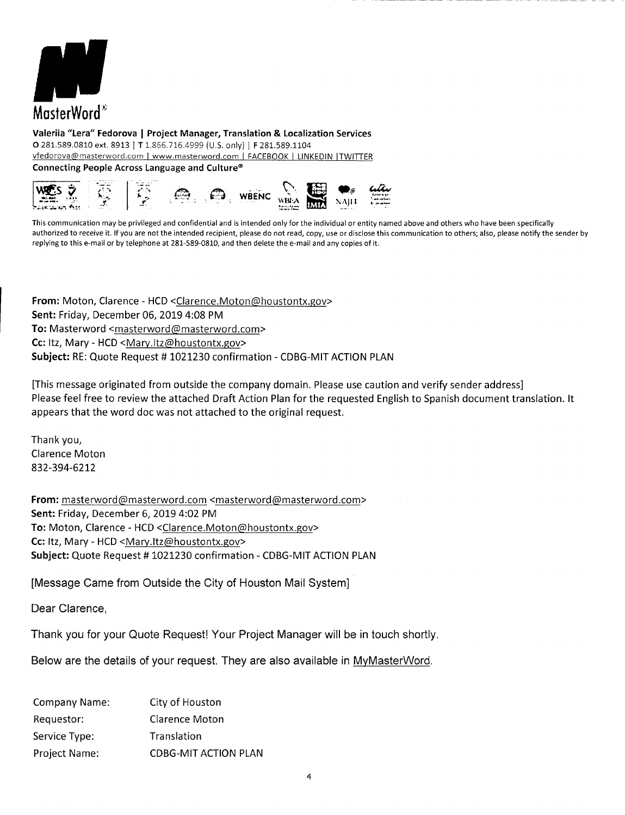

**Valeriia "Lera" Fedorova I Project Manager, Translation & Localization Services**  0 281.589.0810 ext. 8913 T 1.866716.4999 (U.S. only) I F 281.589.1104 vfedorova@masterword.com | www.masterword.com | FACEBOOK | LINKEDIN | TWITTER Connecting People Across Language and Culture®



This communication may be privileged and confidential and is intended only for the individual or entity named above and others who have been specifically authorized to receive it. If you are not the intended recipient, please do not read, copy, use or disclose this communication to others; also, please notify the sender by replying to this e-mail or by telephone at 281-589-0810, and then delete the e-mail and any copies of it.

**From:** Moton, Clarence - HCD <Clarence.Moton@houstontx.gov> Sent: Friday, December 06, 2019 4:08 PM To: Masterword <masterword@masterword.com> Cc: ltz, Mary - HCD <Mary.ltz@houstontx.gov> **Subject:** RE: Quote Request # 1021230 confirmation - CDBG-MlT ACTION PLAN

[This message originated from outside the company domain. Please use caution and verify sender address] Please feel free to review the attached Draft Action Plan for the requested English to Spanish document translation. It appears that the word doc was not attached to the original request.

Thank you, Clarence Moton 832-394-6212

**From:** masterword@masterword.com<masterword@masterword.com> Sent: Friday, December 6, 2019 4:02 PM To: Moton, Clarence - HCD <Clarence.Moton@houstontx.gov> Cc: Itz, Mary - HCD <Mary.ltz@houstontx.gov> **Subject:** Quote Request # 1021230 confirmation - CDBG-MIT ACTION PLAN

[Message Came from Outside the City of Houston Mail System]

Dear Clarence,

Thank you for your Quote Request! Your Project Manager will be in touch shortly.

Below are the details of your request. They are also available in MyMasterWord.

| Company Name: | City of Houston             |
|---------------|-----------------------------|
| Requestor:    | Clarence Moton              |
| Service Type: | Translation                 |
| Project Name: | <b>CDBG-MIT ACTION PLAN</b> |